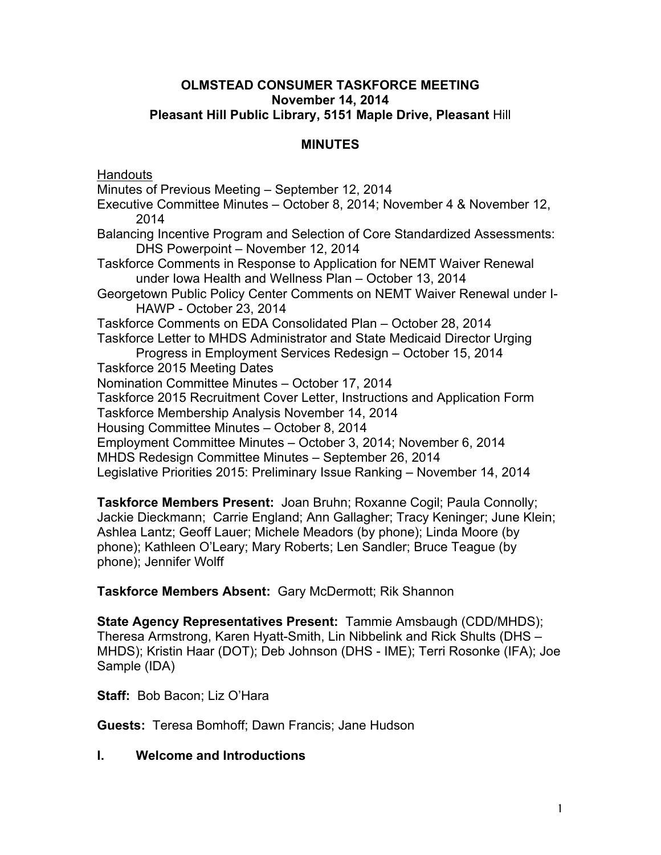#### **OLMSTEAD CONSUMER TASKFORCE MEETING November 14, 2014 Pleasant Hill Public Library, 5151 Maple Drive, Pleasant** Hill

# **MINUTES**

**Handouts** 

Minutes of Previous Meeting – September 12, 2014 Executive Committee Minutes – October 8, 2014; November 4 & November 12, 2014 Balancing Incentive Program and Selection of Core Standardized Assessments: DHS Powerpoint – November 12, 2014 Taskforce Comments in Response to Application for NEMT Waiver Renewal under Iowa Health and Wellness Plan – October 13, 2014 Georgetown Public Policy Center Comments on NEMT Waiver Renewal under I-HAWP - October 23, 2014 Taskforce Comments on EDA Consolidated Plan – October 28, 2014 Taskforce Letter to MHDS Administrator and State Medicaid Director Urging Progress in Employment Services Redesign – October 15, 2014 Taskforce 2015 Meeting Dates Nomination Committee Minutes – October 17, 2014 Taskforce 2015 Recruitment Cover Letter, Instructions and Application Form Taskforce Membership Analysis November 14, 2014 Housing Committee Minutes – October 8, 2014 Employment Committee Minutes – October 3, 2014; November 6, 2014 MHDS Redesign Committee Minutes – September 26, 2014 Legislative Priorities 2015: Preliminary Issue Ranking – November 14, 2014

**Taskforce Members Present:** Joan Bruhn; Roxanne Cogil; Paula Connolly; Jackie Dieckmann; Carrie England; Ann Gallagher; Tracy Keninger; June Klein; Ashlea Lantz; Geoff Lauer; Michele Meadors (by phone); Linda Moore (by phone); Kathleen O'Leary; Mary Roberts; Len Sandler; Bruce Teague (by phone); Jennifer Wolff

**Taskforce Members Absent:** Gary McDermott; Rik Shannon

**State Agency Representatives Present:** Tammie Amsbaugh (CDD/MHDS); Theresa Armstrong, Karen Hyatt-Smith, Lin Nibbelink and Rick Shults (DHS – MHDS); Kristin Haar (DOT); Deb Johnson (DHS - IME); Terri Rosonke (IFA); Joe Sample (IDA)

**Staff:** Bob Bacon; Liz O'Hara

**Guests:** Teresa Bomhoff; Dawn Francis; Jane Hudson

#### **I. Welcome and Introductions**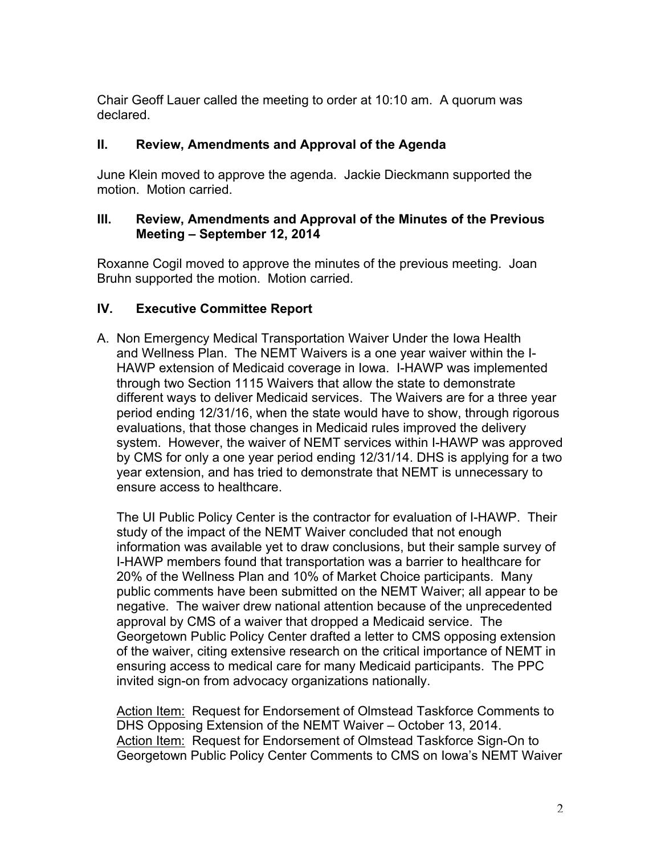Chair Geoff Lauer called the meeting to order at 10:10 am. A quorum was declared.

### **II. Review, Amendments and Approval of the Agenda**

June Klein moved to approve the agenda. Jackie Dieckmann supported the motion. Motion carried.

### **III. Review, Amendments and Approval of the Minutes of the Previous Meeting – September 12, 2014**

Roxanne Cogil moved to approve the minutes of the previous meeting. Joan Bruhn supported the motion. Motion carried.

# **IV. Executive Committee Report**

A. Non Emergency Medical Transportation Waiver Under the Iowa Health and Wellness Plan. The NEMT Waivers is a one year waiver within the I-HAWP extension of Medicaid coverage in Iowa. I-HAWP was implemented through two Section 1115 Waivers that allow the state to demonstrate different ways to deliver Medicaid services. The Waivers are for a three year period ending 12/31/16, when the state would have to show, through rigorous evaluations, that those changes in Medicaid rules improved the delivery system. However, the waiver of NEMT services within I-HAWP was approved by CMS for only a one year period ending 12/31/14. DHS is applying for a two year extension, and has tried to demonstrate that NEMT is unnecessary to ensure access to healthcare.

The UI Public Policy Center is the contractor for evaluation of I-HAWP. Their study of the impact of the NEMT Waiver concluded that not enough information was available yet to draw conclusions, but their sample survey of I-HAWP members found that transportation was a barrier to healthcare for 20% of the Wellness Plan and 10% of Market Choice participants. Many public comments have been submitted on the NEMT Waiver; all appear to be negative. The waiver drew national attention because of the unprecedented approval by CMS of a waiver that dropped a Medicaid service. The Georgetown Public Policy Center drafted a letter to CMS opposing extension of the waiver, citing extensive research on the critical importance of NEMT in ensuring access to medical care for many Medicaid participants. The PPC invited sign-on from advocacy organizations nationally.

Action Item: Request for Endorsement of Olmstead Taskforce Comments to DHS Opposing Extension of the NEMT Waiver – October 13, 2014. Action Item: Request for Endorsement of Olmstead Taskforce Sign-On to Georgetown Public Policy Center Comments to CMS on Iowa's NEMT Waiver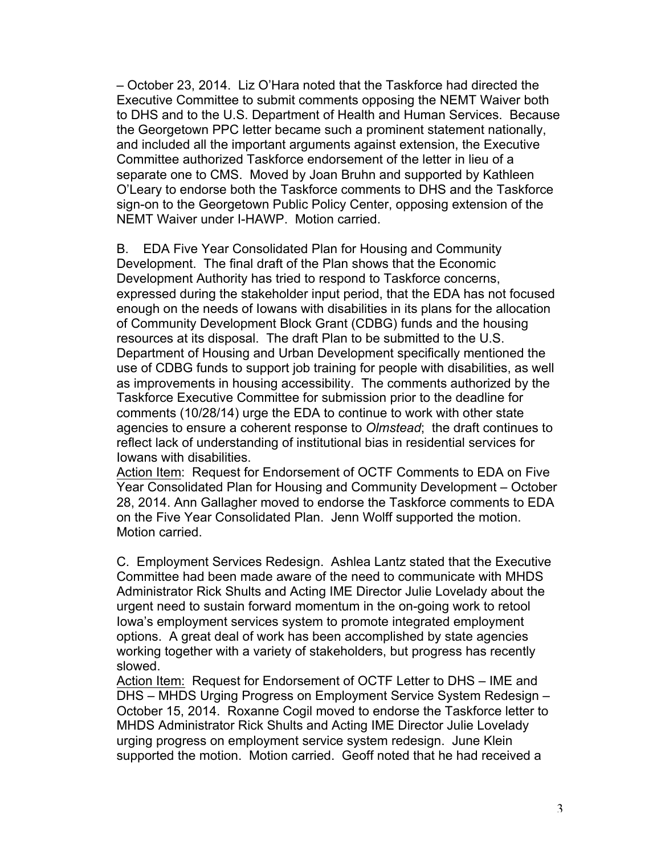– October 23, 2014. Liz O'Hara noted that the Taskforce had directed the Executive Committee to submit comments opposing the NEMT Waiver both to DHS and to the U.S. Department of Health and Human Services. Because the Georgetown PPC letter became such a prominent statement nationally, and included all the important arguments against extension, the Executive Committee authorized Taskforce endorsement of the letter in lieu of a separate one to CMS. Moved by Joan Bruhn and supported by Kathleen O'Leary to endorse both the Taskforce comments to DHS and the Taskforce sign-on to the Georgetown Public Policy Center, opposing extension of the NEMT Waiver under I-HAWP. Motion carried.

B. EDA Five Year Consolidated Plan for Housing and Community Development. The final draft of the Plan shows that the Economic Development Authority has tried to respond to Taskforce concerns, expressed during the stakeholder input period, that the EDA has not focused enough on the needs of Iowans with disabilities in its plans for the allocation of Community Development Block Grant (CDBG) funds and the housing resources at its disposal. The draft Plan to be submitted to the U.S. Department of Housing and Urban Development specifically mentioned the use of CDBG funds to support job training for people with disabilities, as well as improvements in housing accessibility. The comments authorized by the Taskforce Executive Committee for submission prior to the deadline for comments (10/28/14) urge the EDA to continue to work with other state agencies to ensure a coherent response to *Olmstead*; the draft continues to reflect lack of understanding of institutional bias in residential services for Iowans with disabilities.

Action Item: Request for Endorsement of OCTF Comments to EDA on Five Year Consolidated Plan for Housing and Community Development – October 28, 2014. Ann Gallagher moved to endorse the Taskforce comments to EDA on the Five Year Consolidated Plan. Jenn Wolff supported the motion. Motion carried.

C. Employment Services Redesign. Ashlea Lantz stated that the Executive Committee had been made aware of the need to communicate with MHDS Administrator Rick Shults and Acting IME Director Julie Lovelady about the urgent need to sustain forward momentum in the on-going work to retool Iowa's employment services system to promote integrated employment options. A great deal of work has been accomplished by state agencies working together with a variety of stakeholders, but progress has recently slowed.

Action Item: Request for Endorsement of OCTF Letter to DHS – IME and DHS – MHDS Urging Progress on Employment Service System Redesign – October 15, 2014. Roxanne Cogil moved to endorse the Taskforce letter to MHDS Administrator Rick Shults and Acting IME Director Julie Lovelady urging progress on employment service system redesign. June Klein supported the motion. Motion carried. Geoff noted that he had received a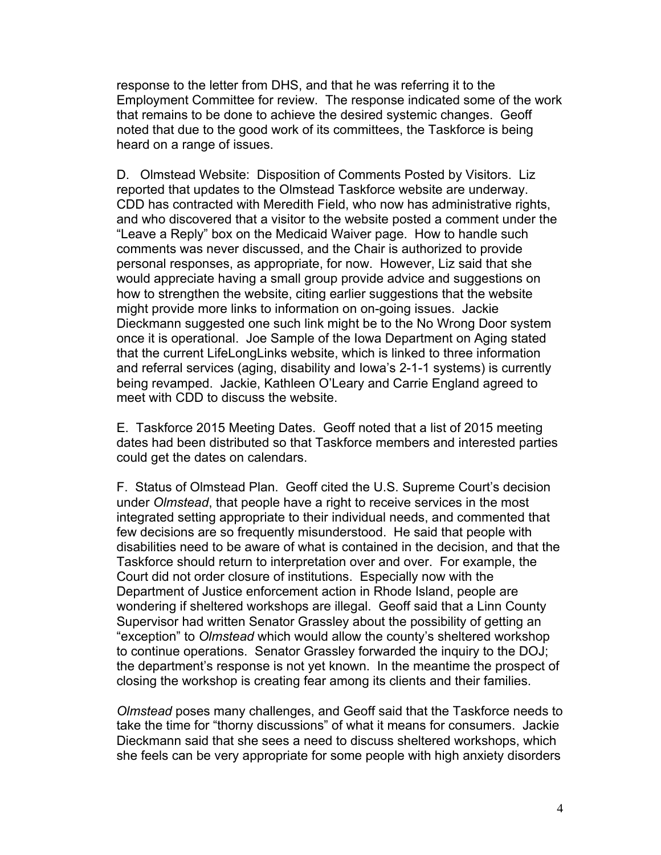response to the letter from DHS, and that he was referring it to the Employment Committee for review. The response indicated some of the work that remains to be done to achieve the desired systemic changes. Geoff noted that due to the good work of its committees, the Taskforce is being heard on a range of issues.

D. Olmstead Website: Disposition of Comments Posted by Visitors. Liz reported that updates to the Olmstead Taskforce website are underway. CDD has contracted with Meredith Field, who now has administrative rights, and who discovered that a visitor to the website posted a comment under the "Leave a Reply" box on the Medicaid Waiver page. How to handle such comments was never discussed, and the Chair is authorized to provide personal responses, as appropriate, for now. However, Liz said that she would appreciate having a small group provide advice and suggestions on how to strengthen the website, citing earlier suggestions that the website might provide more links to information on on-going issues. Jackie Dieckmann suggested one such link might be to the No Wrong Door system once it is operational. Joe Sample of the Iowa Department on Aging stated that the current LifeLongLinks website, which is linked to three information and referral services (aging, disability and Iowa's 2-1-1 systems) is currently being revamped. Jackie, Kathleen O'Leary and Carrie England agreed to meet with CDD to discuss the website.

E. Taskforce 2015 Meeting Dates. Geoff noted that a list of 2015 meeting dates had been distributed so that Taskforce members and interested parties could get the dates on calendars.

F. Status of Olmstead Plan. Geoff cited the U.S. Supreme Court's decision under *Olmstead*, that people have a right to receive services in the most integrated setting appropriate to their individual needs, and commented that few decisions are so frequently misunderstood. He said that people with disabilities need to be aware of what is contained in the decision, and that the Taskforce should return to interpretation over and over. For example, the Court did not order closure of institutions. Especially now with the Department of Justice enforcement action in Rhode Island, people are wondering if sheltered workshops are illegal. Geoff said that a Linn County Supervisor had written Senator Grassley about the possibility of getting an "exception" to *Olmstead* which would allow the county's sheltered workshop to continue operations. Senator Grassley forwarded the inquiry to the DOJ; the department's response is not yet known. In the meantime the prospect of closing the workshop is creating fear among its clients and their families.

*Olmstead* poses many challenges, and Geoff said that the Taskforce needs to take the time for "thorny discussions" of what it means for consumers. Jackie Dieckmann said that she sees a need to discuss sheltered workshops, which she feels can be very appropriate for some people with high anxiety disorders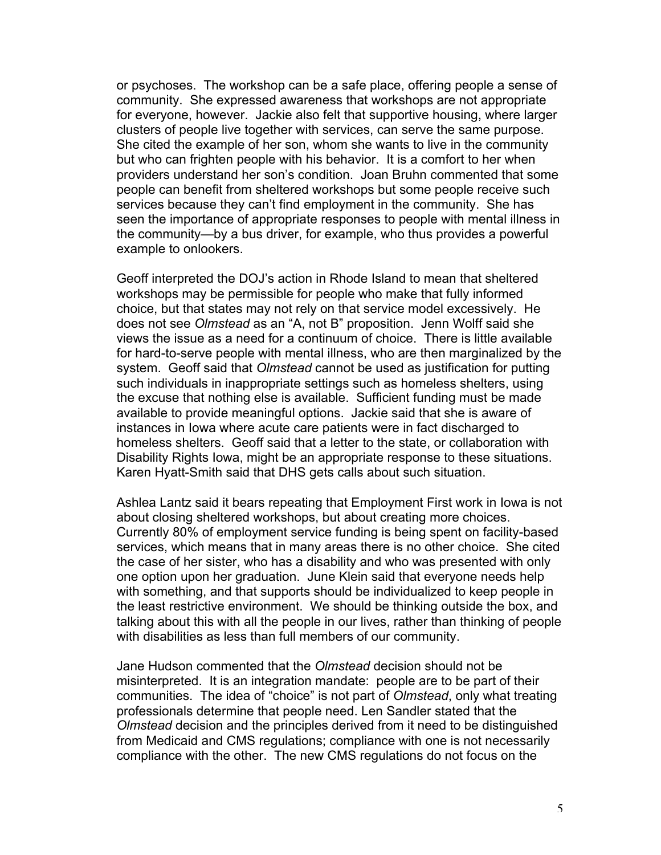or psychoses. The workshop can be a safe place, offering people a sense of community. She expressed awareness that workshops are not appropriate for everyone, however. Jackie also felt that supportive housing, where larger clusters of people live together with services, can serve the same purpose. She cited the example of her son, whom she wants to live in the community but who can frighten people with his behavior. It is a comfort to her when providers understand her son's condition. Joan Bruhn commented that some people can benefit from sheltered workshops but some people receive such services because they can't find employment in the community. She has seen the importance of appropriate responses to people with mental illness in the community—by a bus driver, for example, who thus provides a powerful example to onlookers.

Geoff interpreted the DOJ's action in Rhode Island to mean that sheltered workshops may be permissible for people who make that fully informed choice, but that states may not rely on that service model excessively. He does not see *Olmstead* as an "A, not B" proposition. Jenn Wolff said she views the issue as a need for a continuum of choice. There is little available for hard-to-serve people with mental illness, who are then marginalized by the system. Geoff said that *Olmstead* cannot be used as justification for putting such individuals in inappropriate settings such as homeless shelters, using the excuse that nothing else is available. Sufficient funding must be made available to provide meaningful options. Jackie said that she is aware of instances in Iowa where acute care patients were in fact discharged to homeless shelters. Geoff said that a letter to the state, or collaboration with Disability Rights Iowa, might be an appropriate response to these situations. Karen Hyatt-Smith said that DHS gets calls about such situation.

Ashlea Lantz said it bears repeating that Employment First work in Iowa is not about closing sheltered workshops, but about creating more choices. Currently 80% of employment service funding is being spent on facility-based services, which means that in many areas there is no other choice. She cited the case of her sister, who has a disability and who was presented with only one option upon her graduation. June Klein said that everyone needs help with something, and that supports should be individualized to keep people in the least restrictive environment. We should be thinking outside the box, and talking about this with all the people in our lives, rather than thinking of people with disabilities as less than full members of our community.

Jane Hudson commented that the *Olmstead* decision should not be misinterpreted. It is an integration mandate: people are to be part of their communities. The idea of "choice" is not part of *Olmstead*, only what treating professionals determine that people need. Len Sandler stated that the *Olmstead* decision and the principles derived from it need to be distinguished from Medicaid and CMS regulations; compliance with one is not necessarily compliance with the other. The new CMS regulations do not focus on the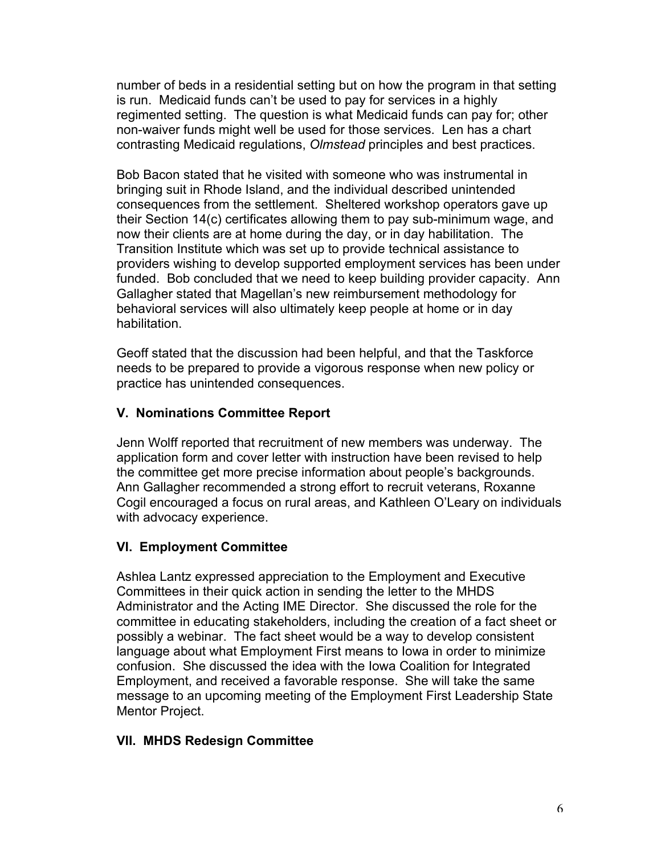number of beds in a residential setting but on how the program in that setting is run. Medicaid funds can't be used to pay for services in a highly regimented setting. The question is what Medicaid funds can pay for; other non-waiver funds might well be used for those services. Len has a chart contrasting Medicaid regulations, *Olmstead* principles and best practices.

Bob Bacon stated that he visited with someone who was instrumental in bringing suit in Rhode Island, and the individual described unintended consequences from the settlement. Sheltered workshop operators gave up their Section 14(c) certificates allowing them to pay sub-minimum wage, and now their clients are at home during the day, or in day habilitation. The Transition Institute which was set up to provide technical assistance to providers wishing to develop supported employment services has been under funded. Bob concluded that we need to keep building provider capacity. Ann Gallagher stated that Magellan's new reimbursement methodology for behavioral services will also ultimately keep people at home or in day habilitation.

Geoff stated that the discussion had been helpful, and that the Taskforce needs to be prepared to provide a vigorous response when new policy or practice has unintended consequences.

# **V. Nominations Committee Report**

Jenn Wolff reported that recruitment of new members was underway. The application form and cover letter with instruction have been revised to help the committee get more precise information about people's backgrounds. Ann Gallagher recommended a strong effort to recruit veterans, Roxanne Cogil encouraged a focus on rural areas, and Kathleen O'Leary on individuals with advocacy experience.

# **VI. Employment Committee**

Ashlea Lantz expressed appreciation to the Employment and Executive Committees in their quick action in sending the letter to the MHDS Administrator and the Acting IME Director. She discussed the role for the committee in educating stakeholders, including the creation of a fact sheet or possibly a webinar. The fact sheet would be a way to develop consistent language about what Employment First means to Iowa in order to minimize confusion. She discussed the idea with the Iowa Coalition for Integrated Employment, and received a favorable response. She will take the same message to an upcoming meeting of the Employment First Leadership State Mentor Project.

#### **VII. MHDS Redesign Committee**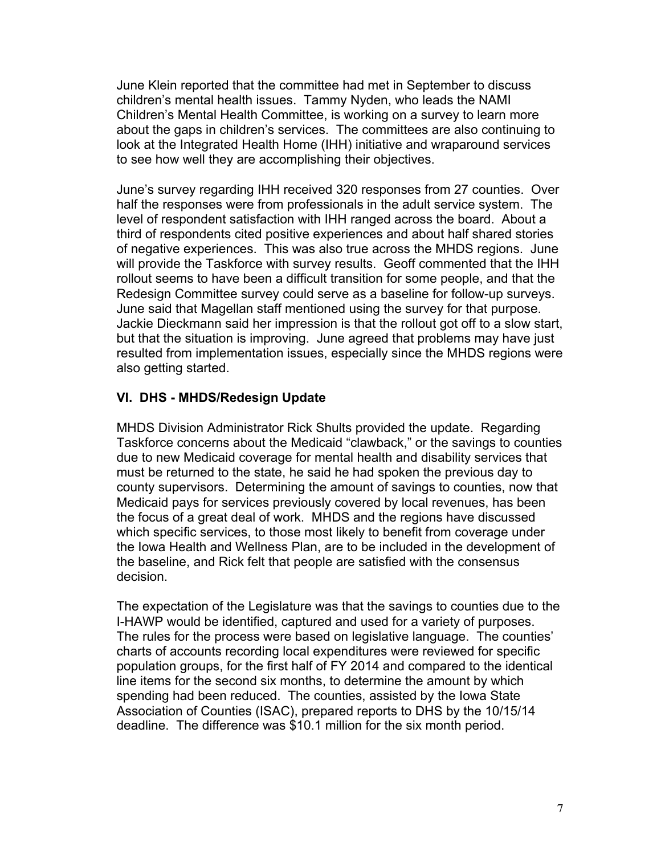June Klein reported that the committee had met in September to discuss children's mental health issues. Tammy Nyden, who leads the NAMI Children's Mental Health Committee, is working on a survey to learn more about the gaps in children's services. The committees are also continuing to look at the Integrated Health Home (IHH) initiative and wraparound services to see how well they are accomplishing their objectives.

June's survey regarding IHH received 320 responses from 27 counties. Over half the responses were from professionals in the adult service system. The level of respondent satisfaction with IHH ranged across the board. About a third of respondents cited positive experiences and about half shared stories of negative experiences. This was also true across the MHDS regions. June will provide the Taskforce with survey results. Geoff commented that the IHH rollout seems to have been a difficult transition for some people, and that the Redesign Committee survey could serve as a baseline for follow-up surveys. June said that Magellan staff mentioned using the survey for that purpose. Jackie Dieckmann said her impression is that the rollout got off to a slow start, but that the situation is improving. June agreed that problems may have just resulted from implementation issues, especially since the MHDS regions were also getting started.

### **VI. DHS - MHDS/Redesign Update**

MHDS Division Administrator Rick Shults provided the update. Regarding Taskforce concerns about the Medicaid "clawback," or the savings to counties due to new Medicaid coverage for mental health and disability services that must be returned to the state, he said he had spoken the previous day to county supervisors. Determining the amount of savings to counties, now that Medicaid pays for services previously covered by local revenues, has been the focus of a great deal of work. MHDS and the regions have discussed which specific services, to those most likely to benefit from coverage under the Iowa Health and Wellness Plan, are to be included in the development of the baseline, and Rick felt that people are satisfied with the consensus decision.

The expectation of the Legislature was that the savings to counties due to the I-HAWP would be identified, captured and used for a variety of purposes. The rules for the process were based on legislative language. The counties' charts of accounts recording local expenditures were reviewed for specific population groups, for the first half of FY 2014 and compared to the identical line items for the second six months, to determine the amount by which spending had been reduced. The counties, assisted by the Iowa State Association of Counties (ISAC), prepared reports to DHS by the 10/15/14 deadline. The difference was \$10.1 million for the six month period.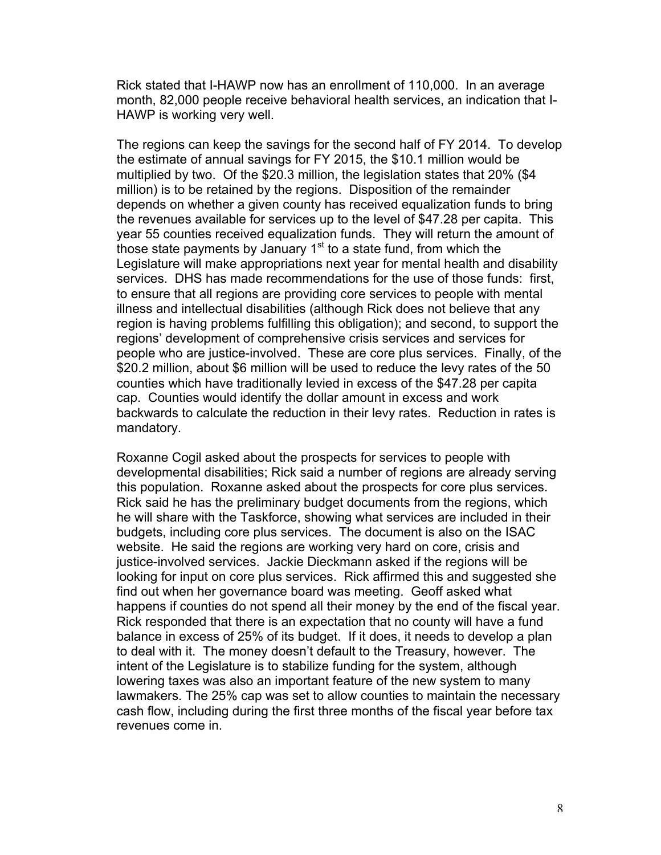Rick stated that I-HAWP now has an enrollment of 110,000. In an average month, 82,000 people receive behavioral health services, an indication that I-HAWP is working very well.

The regions can keep the savings for the second half of FY 2014. To develop the estimate of annual savings for FY 2015, the \$10.1 million would be multiplied by two. Of the \$20.3 million, the legislation states that 20% (\$4 million) is to be retained by the regions. Disposition of the remainder depends on whether a given county has received equalization funds to bring the revenues available for services up to the level of \$47.28 per capita. This year 55 counties received equalization funds. They will return the amount of those state payments by January  $1<sup>st</sup>$  to a state fund, from which the Legislature will make appropriations next year for mental health and disability services. DHS has made recommendations for the use of those funds: first, to ensure that all regions are providing core services to people with mental illness and intellectual disabilities (although Rick does not believe that any region is having problems fulfilling this obligation); and second, to support the regions' development of comprehensive crisis services and services for people who are justice-involved. These are core plus services. Finally, of the \$20.2 million, about \$6 million will be used to reduce the levy rates of the 50 counties which have traditionally levied in excess of the \$47.28 per capita cap. Counties would identify the dollar amount in excess and work backwards to calculate the reduction in their levy rates. Reduction in rates is mandatory.

Roxanne Cogil asked about the prospects for services to people with developmental disabilities; Rick said a number of regions are already serving this population. Roxanne asked about the prospects for core plus services. Rick said he has the preliminary budget documents from the regions, which he will share with the Taskforce, showing what services are included in their budgets, including core plus services. The document is also on the ISAC website. He said the regions are working very hard on core, crisis and justice-involved services. Jackie Dieckmann asked if the regions will be looking for input on core plus services. Rick affirmed this and suggested she find out when her governance board was meeting. Geoff asked what happens if counties do not spend all their money by the end of the fiscal year. Rick responded that there is an expectation that no county will have a fund balance in excess of 25% of its budget. If it does, it needs to develop a plan to deal with it. The money doesn't default to the Treasury, however. The intent of the Legislature is to stabilize funding for the system, although lowering taxes was also an important feature of the new system to many lawmakers. The 25% cap was set to allow counties to maintain the necessary cash flow, including during the first three months of the fiscal year before tax revenues come in.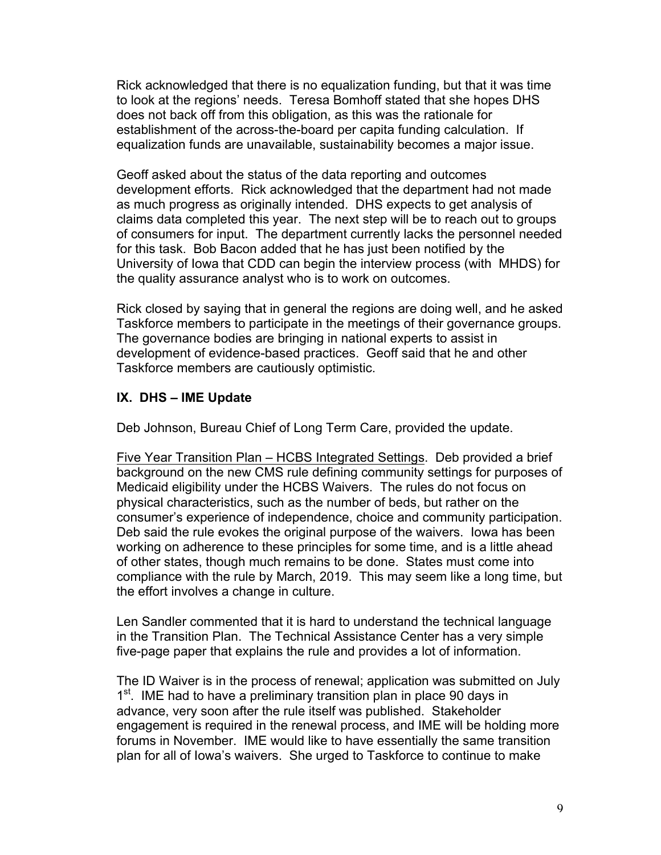Rick acknowledged that there is no equalization funding, but that it was time to look at the regions' needs. Teresa Bomhoff stated that she hopes DHS does not back off from this obligation, as this was the rationale for establishment of the across-the-board per capita funding calculation. If equalization funds are unavailable, sustainability becomes a major issue.

Geoff asked about the status of the data reporting and outcomes development efforts. Rick acknowledged that the department had not made as much progress as originally intended. DHS expects to get analysis of claims data completed this year. The next step will be to reach out to groups of consumers for input. The department currently lacks the personnel needed for this task. Bob Bacon added that he has just been notified by the University of Iowa that CDD can begin the interview process (with MHDS) for the quality assurance analyst who is to work on outcomes.

Rick closed by saying that in general the regions are doing well, and he asked Taskforce members to participate in the meetings of their governance groups. The governance bodies are bringing in national experts to assist in development of evidence-based practices. Geoff said that he and other Taskforce members are cautiously optimistic.

### **IX. DHS – IME Update**

Deb Johnson, Bureau Chief of Long Term Care, provided the update.

Five Year Transition Plan – HCBS Integrated Settings. Deb provided a brief background on the new CMS rule defining community settings for purposes of Medicaid eligibility under the HCBS Waivers. The rules do not focus on physical characteristics, such as the number of beds, but rather on the consumer's experience of independence, choice and community participation. Deb said the rule evokes the original purpose of the waivers. Iowa has been working on adherence to these principles for some time, and is a little ahead of other states, though much remains to be done. States must come into compliance with the rule by March, 2019. This may seem like a long time, but the effort involves a change in culture.

Len Sandler commented that it is hard to understand the technical language in the Transition Plan. The Technical Assistance Center has a very simple five-page paper that explains the rule and provides a lot of information.

The ID Waiver is in the process of renewal; application was submitted on July 1<sup>st</sup>. IME had to have a preliminary transition plan in place 90 days in advance, very soon after the rule itself was published. Stakeholder engagement is required in the renewal process, and IME will be holding more forums in November. IME would like to have essentially the same transition plan for all of Iowa's waivers. She urged to Taskforce to continue to make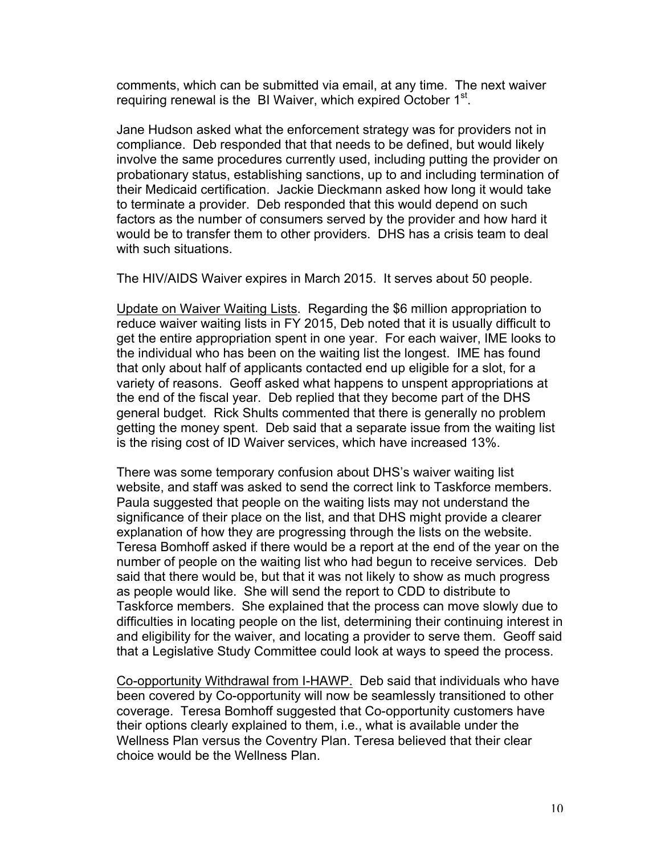comments, which can be submitted via email, at any time. The next waiver requiring renewal is the BI Waiver, which expired October  $1<sup>st</sup>$ .

Jane Hudson asked what the enforcement strategy was for providers not in compliance. Deb responded that that needs to be defined, but would likely involve the same procedures currently used, including putting the provider on probationary status, establishing sanctions, up to and including termination of their Medicaid certification. Jackie Dieckmann asked how long it would take to terminate a provider. Deb responded that this would depend on such factors as the number of consumers served by the provider and how hard it would be to transfer them to other providers. DHS has a crisis team to deal with such situations.

The HIV/AIDS Waiver expires in March 2015. It serves about 50 people.

Update on Waiver Waiting Lists. Regarding the \$6 million appropriation to reduce waiver waiting lists in FY 2015, Deb noted that it is usually difficult to get the entire appropriation spent in one year. For each waiver, IME looks to the individual who has been on the waiting list the longest. IME has found that only about half of applicants contacted end up eligible for a slot, for a variety of reasons. Geoff asked what happens to unspent appropriations at the end of the fiscal year. Deb replied that they become part of the DHS general budget. Rick Shults commented that there is generally no problem getting the money spent. Deb said that a separate issue from the waiting list is the rising cost of ID Waiver services, which have increased 13%.

There was some temporary confusion about DHS's waiver waiting list website, and staff was asked to send the correct link to Taskforce members. Paula suggested that people on the waiting lists may not understand the significance of their place on the list, and that DHS might provide a clearer explanation of how they are progressing through the lists on the website. Teresa Bomhoff asked if there would be a report at the end of the year on the number of people on the waiting list who had begun to receive services. Deb said that there would be, but that it was not likely to show as much progress as people would like. She will send the report to CDD to distribute to Taskforce members. She explained that the process can move slowly due to difficulties in locating people on the list, determining their continuing interest in and eligibility for the waiver, and locating a provider to serve them. Geoff said that a Legislative Study Committee could look at ways to speed the process.

Co-opportunity Withdrawal from I-HAWP. Deb said that individuals who have been covered by Co-opportunity will now be seamlessly transitioned to other coverage. Teresa Bomhoff suggested that Co-opportunity customers have their options clearly explained to them, i.e., what is available under the Wellness Plan versus the Coventry Plan. Teresa believed that their clear choice would be the Wellness Plan.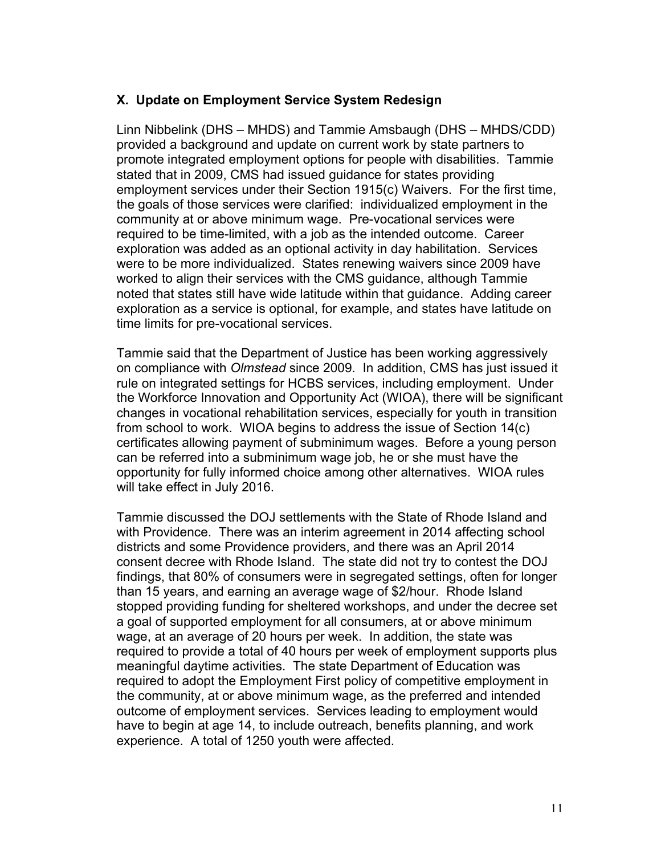### **X. Update on Employment Service System Redesign**

Linn Nibbelink (DHS – MHDS) and Tammie Amsbaugh (DHS – MHDS/CDD) provided a background and update on current work by state partners to promote integrated employment options for people with disabilities. Tammie stated that in 2009, CMS had issued guidance for states providing employment services under their Section 1915(c) Waivers. For the first time, the goals of those services were clarified: individualized employment in the community at or above minimum wage. Pre-vocational services were required to be time-limited, with a job as the intended outcome. Career exploration was added as an optional activity in day habilitation. Services were to be more individualized. States renewing waivers since 2009 have worked to align their services with the CMS guidance, although Tammie noted that states still have wide latitude within that guidance. Adding career exploration as a service is optional, for example, and states have latitude on time limits for pre-vocational services.

Tammie said that the Department of Justice has been working aggressively on compliance with *Olmstead* since 2009. In addition, CMS has just issued it rule on integrated settings for HCBS services, including employment. Under the Workforce Innovation and Opportunity Act (WIOA), there will be significant changes in vocational rehabilitation services, especially for youth in transition from school to work. WIOA begins to address the issue of Section 14(c) certificates allowing payment of subminimum wages. Before a young person can be referred into a subminimum wage job, he or she must have the opportunity for fully informed choice among other alternatives. WIOA rules will take effect in July 2016.

Tammie discussed the DOJ settlements with the State of Rhode Island and with Providence. There was an interim agreement in 2014 affecting school districts and some Providence providers, and there was an April 2014 consent decree with Rhode Island. The state did not try to contest the DOJ findings, that 80% of consumers were in segregated settings, often for longer than 15 years, and earning an average wage of \$2/hour. Rhode Island stopped providing funding for sheltered workshops, and under the decree set a goal of supported employment for all consumers, at or above minimum wage, at an average of 20 hours per week. In addition, the state was required to provide a total of 40 hours per week of employment supports plus meaningful daytime activities. The state Department of Education was required to adopt the Employment First policy of competitive employment in the community, at or above minimum wage, as the preferred and intended outcome of employment services. Services leading to employment would have to begin at age 14, to include outreach, benefits planning, and work experience. A total of 1250 youth were affected.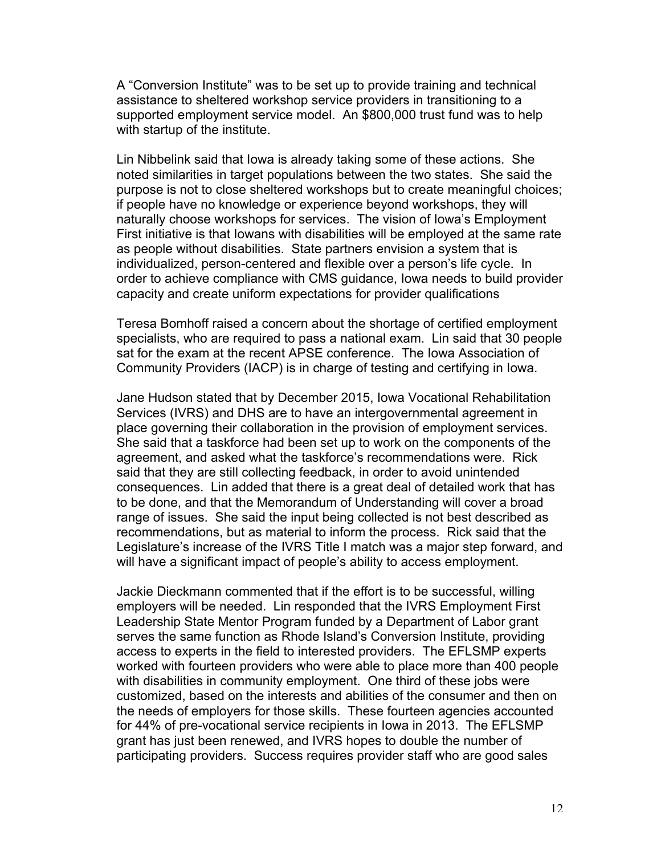A "Conversion Institute" was to be set up to provide training and technical assistance to sheltered workshop service providers in transitioning to a supported employment service model. An \$800,000 trust fund was to help with startup of the institute.

Lin Nibbelink said that Iowa is already taking some of these actions. She noted similarities in target populations between the two states. She said the purpose is not to close sheltered workshops but to create meaningful choices; if people have no knowledge or experience beyond workshops, they will naturally choose workshops for services. The vision of Iowa's Employment First initiative is that Iowans with disabilities will be employed at the same rate as people without disabilities. State partners envision a system that is individualized, person-centered and flexible over a person's life cycle. In order to achieve compliance with CMS guidance, Iowa needs to build provider capacity and create uniform expectations for provider qualifications

Teresa Bomhoff raised a concern about the shortage of certified employment specialists, who are required to pass a national exam. Lin said that 30 people sat for the exam at the recent APSE conference. The Iowa Association of Community Providers (IACP) is in charge of testing and certifying in Iowa.

Jane Hudson stated that by December 2015, Iowa Vocational Rehabilitation Services (IVRS) and DHS are to have an intergovernmental agreement in place governing their collaboration in the provision of employment services. She said that a taskforce had been set up to work on the components of the agreement, and asked what the taskforce's recommendations were. Rick said that they are still collecting feedback, in order to avoid unintended consequences. Lin added that there is a great deal of detailed work that has to be done, and that the Memorandum of Understanding will cover a broad range of issues. She said the input being collected is not best described as recommendations, but as material to inform the process. Rick said that the Legislature's increase of the IVRS Title I match was a major step forward, and will have a significant impact of people's ability to access employment.

Jackie Dieckmann commented that if the effort is to be successful, willing employers will be needed. Lin responded that the IVRS Employment First Leadership State Mentor Program funded by a Department of Labor grant serves the same function as Rhode Island's Conversion Institute, providing access to experts in the field to interested providers. The EFLSMP experts worked with fourteen providers who were able to place more than 400 people with disabilities in community employment. One third of these jobs were customized, based on the interests and abilities of the consumer and then on the needs of employers for those skills. These fourteen agencies accounted for 44% of pre-vocational service recipients in Iowa in 2013. The EFLSMP grant has just been renewed, and IVRS hopes to double the number of participating providers. Success requires provider staff who are good sales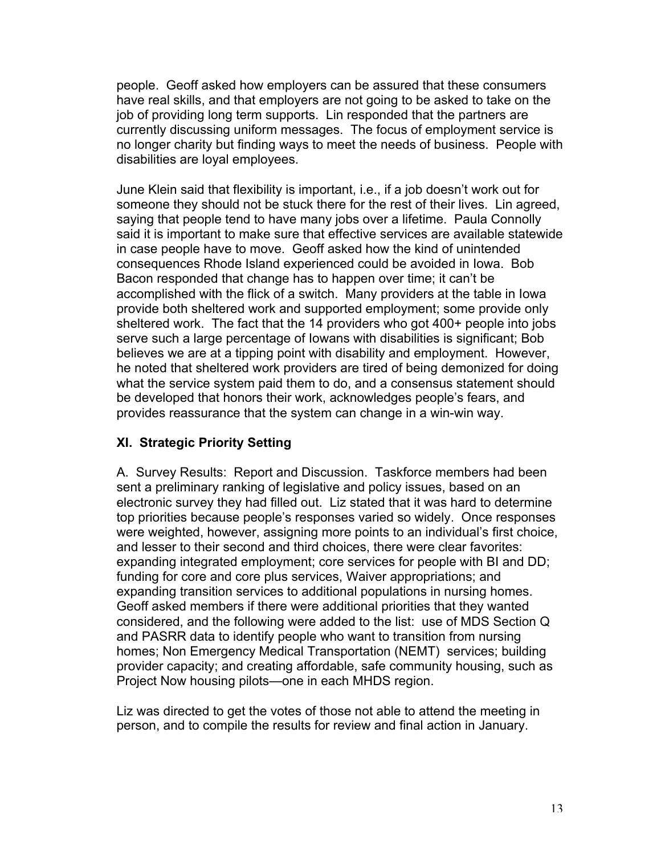people. Geoff asked how employers can be assured that these consumers have real skills, and that employers are not going to be asked to take on the job of providing long term supports. Lin responded that the partners are currently discussing uniform messages. The focus of employment service is no longer charity but finding ways to meet the needs of business. People with disabilities are loyal employees.

June Klein said that flexibility is important, i.e., if a job doesn't work out for someone they should not be stuck there for the rest of their lives. Lin agreed, saying that people tend to have many jobs over a lifetime. Paula Connolly said it is important to make sure that effective services are available statewide in case people have to move. Geoff asked how the kind of unintended consequences Rhode Island experienced could be avoided in Iowa. Bob Bacon responded that change has to happen over time; it can't be accomplished with the flick of a switch. Many providers at the table in Iowa provide both sheltered work and supported employment; some provide only sheltered work. The fact that the 14 providers who got 400+ people into jobs serve such a large percentage of Iowans with disabilities is significant; Bob believes we are at a tipping point with disability and employment. However, he noted that sheltered work providers are tired of being demonized for doing what the service system paid them to do, and a consensus statement should be developed that honors their work, acknowledges people's fears, and provides reassurance that the system can change in a win-win way.

# **XI. Strategic Priority Setting**

A. Survey Results: Report and Discussion. Taskforce members had been sent a preliminary ranking of legislative and policy issues, based on an electronic survey they had filled out. Liz stated that it was hard to determine top priorities because people's responses varied so widely. Once responses were weighted, however, assigning more points to an individual's first choice, and lesser to their second and third choices, there were clear favorites: expanding integrated employment; core services for people with BI and DD; funding for core and core plus services, Waiver appropriations; and expanding transition services to additional populations in nursing homes. Geoff asked members if there were additional priorities that they wanted considered, and the following were added to the list: use of MDS Section Q and PASRR data to identify people who want to transition from nursing homes; Non Emergency Medical Transportation (NEMT) services; building provider capacity; and creating affordable, safe community housing, such as Project Now housing pilots—one in each MHDS region.

Liz was directed to get the votes of those not able to attend the meeting in person, and to compile the results for review and final action in January.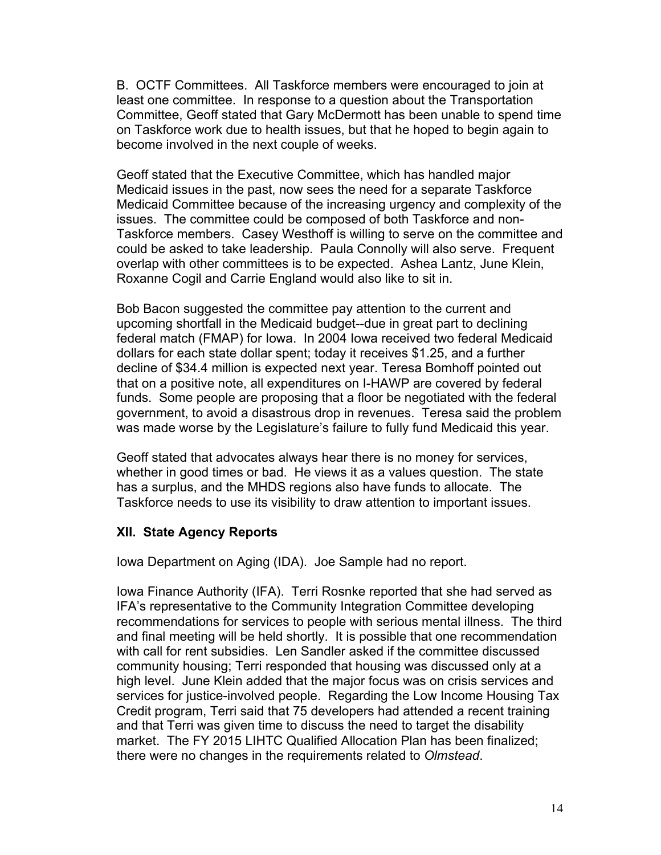B. OCTF Committees. All Taskforce members were encouraged to join at least one committee. In response to a question about the Transportation Committee, Geoff stated that Gary McDermott has been unable to spend time on Taskforce work due to health issues, but that he hoped to begin again to become involved in the next couple of weeks.

Geoff stated that the Executive Committee, which has handled major Medicaid issues in the past, now sees the need for a separate Taskforce Medicaid Committee because of the increasing urgency and complexity of the issues. The committee could be composed of both Taskforce and non-Taskforce members. Casey Westhoff is willing to serve on the committee and could be asked to take leadership. Paula Connolly will also serve. Frequent overlap with other committees is to be expected. Ashea Lantz, June Klein, Roxanne Cogil and Carrie England would also like to sit in.

Bob Bacon suggested the committee pay attention to the current and upcoming shortfall in the Medicaid budget--due in great part to declining federal match (FMAP) for Iowa. In 2004 Iowa received two federal Medicaid dollars for each state dollar spent; today it receives \$1.25, and a further decline of \$34.4 million is expected next year. Teresa Bomhoff pointed out that on a positive note, all expenditures on I-HAWP are covered by federal funds. Some people are proposing that a floor be negotiated with the federal government, to avoid a disastrous drop in revenues. Teresa said the problem was made worse by the Legislature's failure to fully fund Medicaid this year.

Geoff stated that advocates always hear there is no money for services, whether in good times or bad. He views it as a values question. The state has a surplus, and the MHDS regions also have funds to allocate. The Taskforce needs to use its visibility to draw attention to important issues.

# **XII. State Agency Reports**

Iowa Department on Aging (IDA). Joe Sample had no report.

Iowa Finance Authority (IFA). Terri Rosnke reported that she had served as IFA's representative to the Community Integration Committee developing recommendations for services to people with serious mental illness. The third and final meeting will be held shortly. It is possible that one recommendation with call for rent subsidies. Len Sandler asked if the committee discussed community housing; Terri responded that housing was discussed only at a high level. June Klein added that the major focus was on crisis services and services for justice-involved people. Regarding the Low Income Housing Tax Credit program, Terri said that 75 developers had attended a recent training and that Terri was given time to discuss the need to target the disability market. The FY 2015 LIHTC Qualified Allocation Plan has been finalized; there were no changes in the requirements related to *Olmstead*.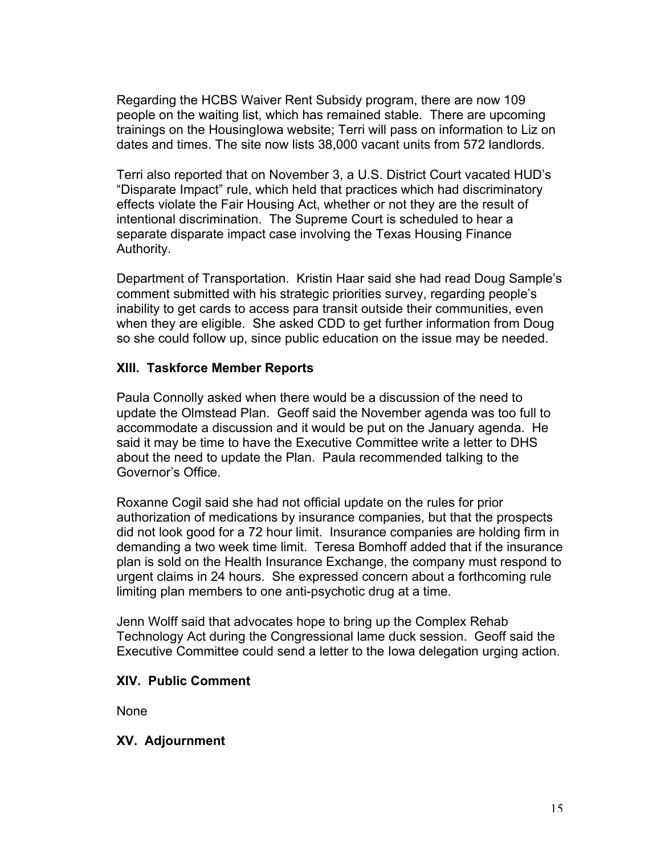Regarding the HCBS Waiver Rent Subsidy program, there are now 109 people on the waiting list, which has remained stable. There are upcoming trainings on the HousingIowa website; Terri will pass on information to Liz on dates and times. The site now lists 38,000 vacant units from 572 landlords.

Terri also reported that on November 3, a U.S. District Court vacated HUD's "Disparate Impact" rule, which held that practices which had discriminatory effects violate the Fair Housing Act, whether or not they are the result of intentional discrimination. The Supreme Court is scheduled to hear a separate disparate impact case involving the Texas Housing Finance Authority.

Department of Transportation. Kristin Haar said she had read Doug Sample's comment submitted with his strategic priorities survey, regarding people's inability to get cards to access para transit outside their communities, even when they are eligible. She asked CDD to get further information from Doug so she could follow up, since public education on the issue may be needed.

### **XIII. Taskforce Member Reports**

Paula Connolly asked when there would be a discussion of the need to update the Olmstead Plan. Geoff said the November agenda was too full to accommodate a discussion and it would be put on the January agenda. He said it may be time to have the Executive Committee write a letter to DHS about the need to update the Plan. Paula recommended talking to the Governor's Office.

Roxanne Cogil said she had not official update on the rules for prior authorization of medications by insurance companies, but that the prospects did not look good for a 72 hour limit. Insurance companies are holding firm in demanding a two week time limit. Teresa Bomhoff added that if the insurance plan is sold on the Health Insurance Exchange, the company must respond to urgent claims in 24 hours. She expressed concern about a forthcoming rule limiting plan members to one anti-psychotic drug at a time.

Jenn Wolff said that advocates hope to bring up the Complex Rehab Technology Act during the Congressional lame duck session. Geoff said the Executive Committee could send a letter to the Iowa delegation urging action.

#### **XIV. Public Comment**

None

# **XV. Adjournment**